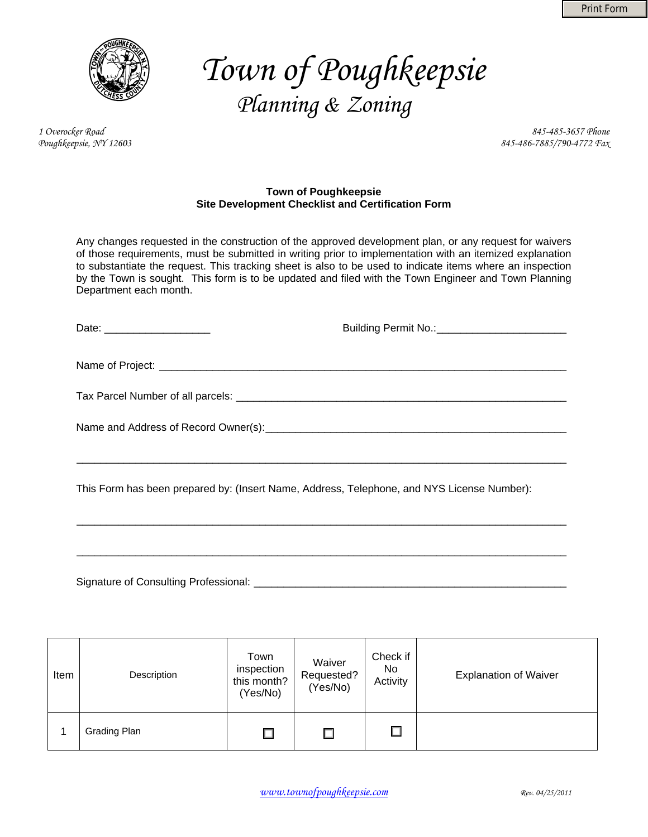

# *Town of Poughkeepsie Planning & Zoning*

*1 Overocker Road 845-485-3657 Phone Poughkeepsie, NY 12603 845-486-7885/790-4772 Fax* 

#### **Town of Poughkeepsie Site Development Checklist and Certification Form**

Any changes requested in the construction of the approved development plan, or any request for waivers of those requirements, must be submitted in writing prior to implementation with an itemized explanation to substantiate the request. This tracking sheet is also to be used to indicate items where an inspection by the Town is sought. This form is to be updated and filed with the Town Engineer and Town Planning Department each month.

| Date: _______________________                                                              | Building Permit No.: __________________________ |
|--------------------------------------------------------------------------------------------|-------------------------------------------------|
|                                                                                            |                                                 |
|                                                                                            |                                                 |
|                                                                                            |                                                 |
| This Form has been prepared by: (Insert Name, Address, Telephone, and NYS License Number): |                                                 |

\_\_\_\_\_\_\_\_\_\_\_\_\_\_\_\_\_\_\_\_\_\_\_\_\_\_\_\_\_\_\_\_\_\_\_\_\_\_\_\_\_\_\_\_\_\_\_\_\_\_\_\_\_\_\_\_\_\_\_\_\_\_\_\_\_\_\_\_\_\_\_\_\_\_\_\_\_\_\_\_\_\_\_

Signature of Consulting Professional: \_

| Item | Description  | Town<br>inspection<br>this month?<br>(Yes/No) | Waiver<br>Requested?<br>(Yes/No) | Check if<br>No<br>Activity | <b>Explanation of Waiver</b> |
|------|--------------|-----------------------------------------------|----------------------------------|----------------------------|------------------------------|
|      | Grading Plan |                                               |                                  |                            |                              |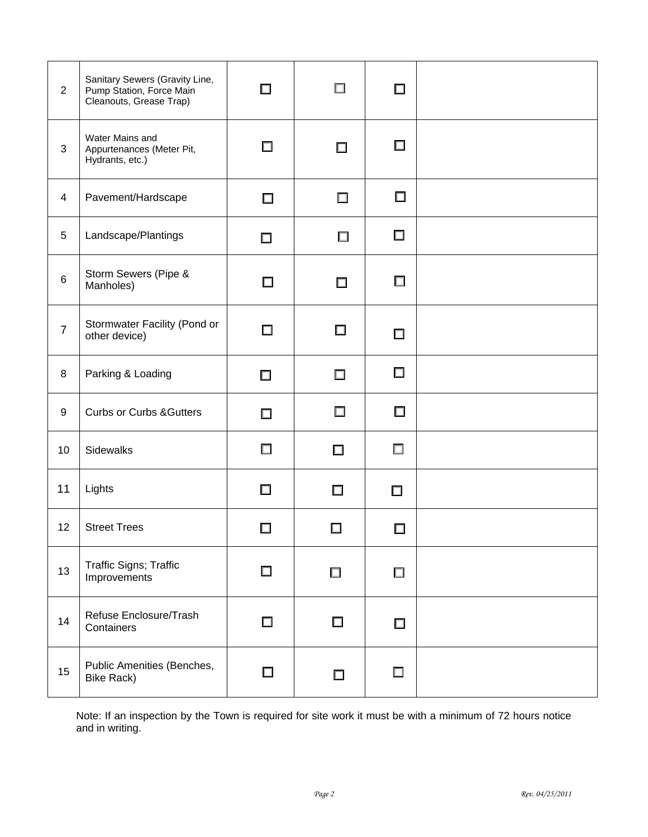| $\overline{2}$  | Sanitary Sewers (Gravity Line,<br>Pump Station, Force Main<br>Cleanouts, Grease Trap) | $\Box$ | $\Box$ | $\Box$ |  |
|-----------------|---------------------------------------------------------------------------------------|--------|--------|--------|--|
| $\mathbf{3}$    | Water Mains and<br>Appurtenances (Meter Pit,<br>Hydrants, etc.)                       | 口      | $\Box$ | $\Box$ |  |
| 4               | Pavement/Hardscape                                                                    | $\Box$ | $\Box$ | $\Box$ |  |
| 5               | Landscape/Plantings                                                                   | $\Box$ | $\Box$ | $\Box$ |  |
| 6               | Storm Sewers (Pipe &<br>Manholes)                                                     | □      | □      | $\Box$ |  |
| $\overline{7}$  | Stormwater Facility (Pond or<br>other device)                                         | $\Box$ | $\Box$ | $\Box$ |  |
| 8               | Parking & Loading                                                                     | $\Box$ | $\Box$ | $\Box$ |  |
| 9               | <b>Curbs or Curbs &amp; Gutters</b>                                                   | $\Box$ | $\Box$ | $\Box$ |  |
| 10              | Sidewalks                                                                             | $\Box$ | $\Box$ | □      |  |
| 11              | Lights                                                                                | $\Box$ | □      | $\Box$ |  |
| 12 <sub>2</sub> | <b>Street Trees</b>                                                                   |        |        | П      |  |
| 13              | Traffic Signs; Traffic<br>Improvements                                                | $\Box$ | $\Box$ | $\Box$ |  |
| 14              | Refuse Enclosure/Trash<br>Containers                                                  | $\Box$ | $\Box$ | $\Box$ |  |
| 15              | Public Amenities (Benches,<br><b>Bike Rack)</b>                                       | □      | $\Box$ | $\Box$ |  |

Note: If an inspection by the Town is required for site work it must be with a minimum of 72 hours notice and in writing.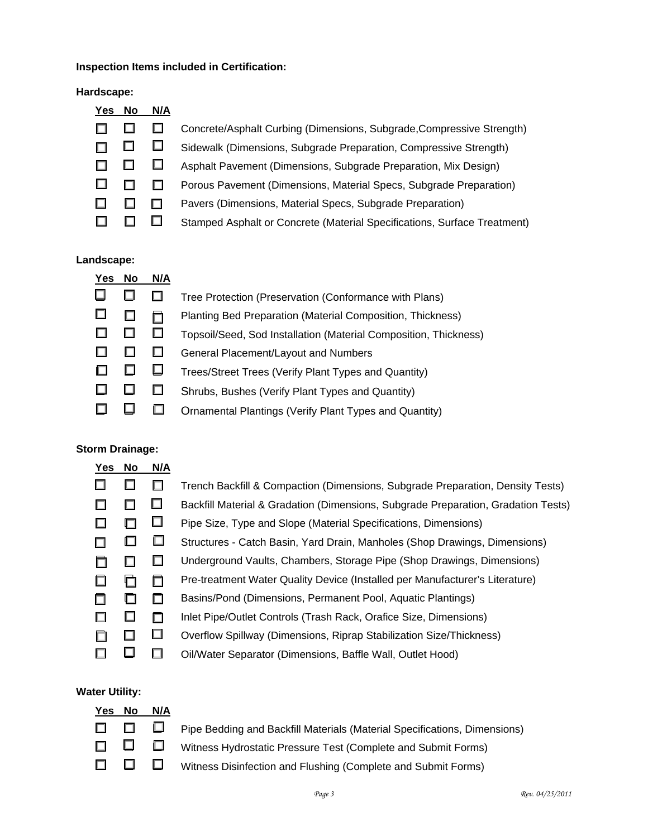## **Inspection Items included in Certification:**

#### **Hardscape:**

| Yes | <b>No</b> | N/A |                                                                          |
|-----|-----------|-----|--------------------------------------------------------------------------|
|     |           |     | Concrete/Asphalt Curbing (Dimensions, Subgrade, Compressive Strength)    |
|     | ш         |     | Sidewalk (Dimensions, Subgrade Preparation, Compressive Strength)        |
|     |           |     | Asphalt Pavement (Dimensions, Subgrade Preparation, Mix Design)          |
|     |           |     | Porous Pavement (Dimensions, Material Specs, Subgrade Preparation)       |
|     |           |     | Pavers (Dimensions, Material Specs, Subgrade Preparation)                |
|     |           |     | Stamped Asphalt or Concrete (Material Specifications, Surface Treatment) |

#### **Landscape:**

| Yes | No | N/A |                                                                  |
|-----|----|-----|------------------------------------------------------------------|
|     |    |     | Tree Protection (Preservation (Conformance with Plans)           |
|     |    |     | Planting Bed Preparation (Material Composition, Thickness)       |
|     |    | ப   | Topsoil/Seed, Sod Installation (Material Composition, Thickness) |
|     |    | ш   | General Placement/Layout and Numbers                             |
|     |    | ⊔   | Trees/Street Trees (Verify Plant Types and Quantity)             |
|     |    | ப   | Shrubs, Bushes (Verify Plant Types and Quantity)                 |
|     |    |     | <b>Ornamental Plantings (Verify Plant Types and Quantity)</b>    |

### **Storm Drainage:**

| Yes | No     | N/A    |                                                                                   |
|-----|--------|--------|-----------------------------------------------------------------------------------|
|     |        | $\Box$ | Trench Backfill & Compaction (Dimensions, Subgrade Preparation, Density Tests)    |
|     |        | $\Box$ | Backfill Material & Gradation (Dimensions, Subgrade Preparation, Gradation Tests) |
|     | $\Box$ | $\Box$ | Pipe Size, Type and Slope (Material Specifications, Dimensions)                   |
|     | $\Box$ | ப      | Structures - Catch Basin, Yard Drain, Manholes (Shop Drawings, Dimensions)        |
| □   | ப      | $\Box$ | Underground Vaults, Chambers, Storage Pipe (Shop Drawings, Dimensions)            |
|     | O      | ◻      | Pre-treatment Water Quality Device (Installed per Manufacturer's Literature)      |
|     | ப      | $\Box$ | Basins/Pond (Dimensions, Permanent Pool, Aquatic Plantings)                       |
|     | ப      | $\Box$ | Inlet Pipe/Outlet Controls (Trash Rack, Orafice Size, Dimensions)                 |
| □   | $\Box$ | □      | Overflow Spillway (Dimensions, Riprap Stabilization Size/Thickness)               |
|     |        |        | Oil/Water Separator (Dimensions, Baffle Wall, Outlet Hood)                        |

#### **Water Utility:**

| Yes No N/A |                                                                                 |
|------------|---------------------------------------------------------------------------------|
|            | □ □ □ Pipe Bedding and Backfill Materials (Material Specifications, Dimensions) |
|            | □ □ □ Witness Hydrostatic Pressure Test (Complete and Submit Forms)             |
|            | □ □ □ Witness Disinfection and Flushing (Complete and Submit Forms)             |